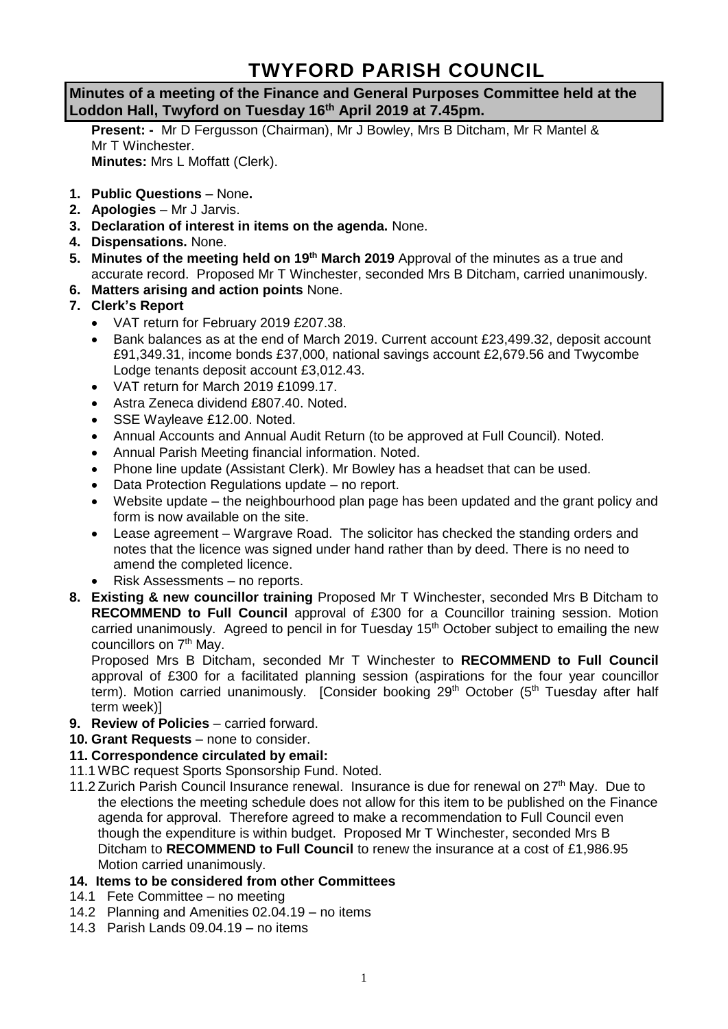# **TWYFORD PARISH COUNCIL**

# **Minutes of a meeting of the Finance and General Purposes Committee held at the Loddon Hall, Twyford on Tuesday 16th April 2019 at 7.45pm.**

**Present: -** Mr D Fergusson (Chairman), Mr J Bowley, Mrs B Ditcham, Mr R Mantel & Mr T Winchester. **Minutes:** Mrs L Moffatt (Clerk).

- **1. Public Questions** None**.**
- **2. Apologies** Mr J Jarvis.
- **3. Declaration of interest in items on the agenda.** None.
- **4. Dispensations.** None.
- **5. Minutes of the meeting held on 19th March 2019** Approval of the minutes as a true and accurate record. Proposed Mr T Winchester, seconded Mrs B Ditcham, carried unanimously.
- **6. Matters arising and action points** None.

# **7. Clerk's Report**

- VAT return for February 2019 £207.38.
- Bank balances as at the end of March 2019. Current account £23,499.32, deposit account £91,349.31, income bonds £37,000, national savings account £2,679.56 and Twycombe Lodge tenants deposit account £3,012.43.
- VAT return for March 2019 £1099.17.
- Astra Zeneca dividend £807.40. Noted.
- SSE Wayleave £12.00. Noted.
- Annual Accounts and Annual Audit Return (to be approved at Full Council). Noted.
- Annual Parish Meeting financial information. Noted.
- Phone line update (Assistant Clerk). Mr Bowley has a headset that can be used.
- Data Protection Regulations update no report.
- Website update the neighbourhood plan page has been updated and the grant policy and form is now available on the site.
- Lease agreement Wargrave Road. The solicitor has checked the standing orders and notes that the licence was signed under hand rather than by deed. There is no need to amend the completed licence.
- Risk Assessments no reports.
- **8. Existing & new councillor training** Proposed Mr T Winchester, seconded Mrs B Ditcham to **RECOMMEND to Full Council** approval of £300 for a Councillor training session. Motion carried unanimously. Agreed to pencil in for Tuesday 15<sup>th</sup> October subject to emailing the new councillors on 7<sup>th</sup> May.

Proposed Mrs B Ditcham, seconded Mr T Winchester to **RECOMMEND to Full Council** approval of £300 for a facilitated planning session (aspirations for the four year councillor term). Motion carried unanimously. [Consider booking 29<sup>th</sup> October (5<sup>th</sup> Tuesday after half term week)]

- **9. Review of Policies** carried forward.
- **10. Grant Requests** none to consider.

#### **11. Correspondence circulated by email:**

- 11.1 WBC request Sports Sponsorship Fund. Noted.
- 11.2 Zurich Parish Council Insurance renewal. Insurance is due for renewal on 27<sup>th</sup> May. Due to the elections the meeting schedule does not allow for this item to be published on the Finance agenda for approval. Therefore agreed to make a recommendation to Full Council even though the expenditure is within budget. Proposed Mr T Winchester, seconded Mrs B Ditcham to **RECOMMEND to Full Council** to renew the insurance at a cost of £1,986.95 Motion carried unanimously.

#### **14. Items to be considered from other Committees**

- 14.1 Fete Committee no meeting
- 14.2 Planning and Amenities 02.04.19 no items
- 14.3 Parish Lands 09.04.19 no items